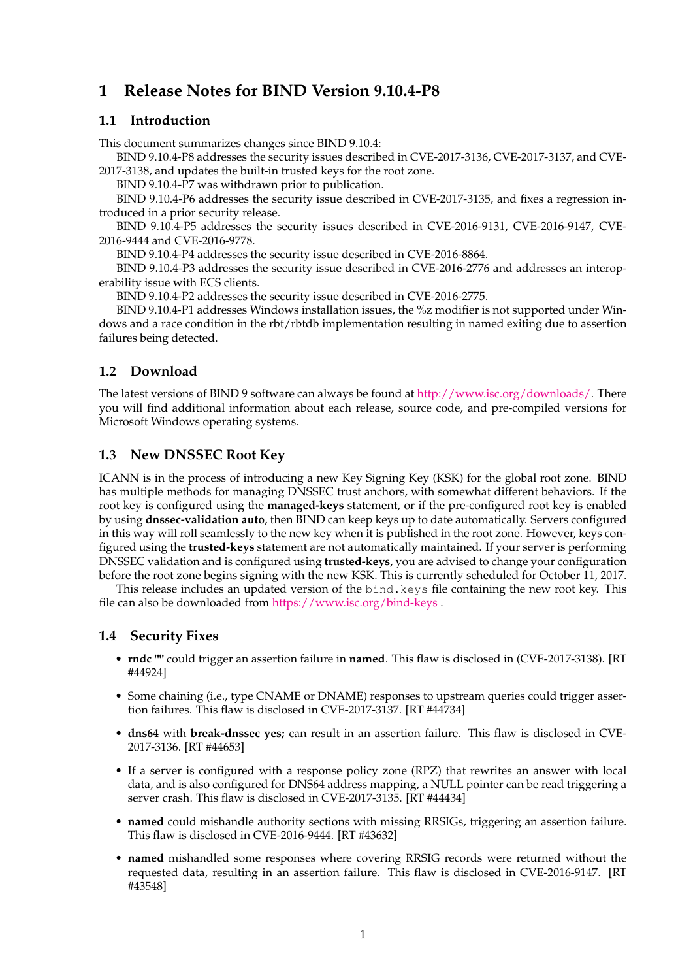# **1 Release Notes for BIND Version 9.10.4-P8**

#### **1.1 Introduction**

This document summarizes changes since BIND 9.10.4:

BIND 9.10.4-P8 addresses the security issues described in CVE-2017-3136, CVE-2017-3137, and CVE-2017-3138, and updates the built-in trusted keys for the root zone.

BIND 9.10.4-P7 was withdrawn prior to publication.

BIND 9.10.4-P6 addresses the security issue described in CVE-2017-3135, and fixes a regression introduced in a prior security release.

BIND 9.10.4-P5 addresses the security issues described in CVE-2016-9131, CVE-2016-9147, CVE-2016-9444 and CVE-2016-9778.

BIND 9.10.4-P4 addresses the security issue described in CVE-2016-8864.

BIND 9.10.4-P3 addresses the security issue described in CVE-2016-2776 and addresses an interoperability issue with ECS clients.

BIND 9.10.4-P2 addresses the security issue described in CVE-2016-2775.

BIND 9.10.4-P1 addresses Windows installation issues, the %z modifier is not supported under Windows and a race condition in the rbt/rbtdb implementation resulting in named exiting due to assertion failures being detected.

## **1.2 Download**

The latest versions of BIND 9 software can always be found at [http://www.isc.org/downloads/.](http://www.isc.org/downloads/) There you will find additional information about each release, source code, and pre-compiled versions for Microsoft Windows operating systems.

## **1.3 New DNSSEC Root Key**

ICANN is in the process of introducing a new Key Signing Key (KSK) for the global root zone. BIND has multiple methods for managing DNSSEC trust anchors, with somewhat different behaviors. If the root key is configured using the **managed-keys** statement, or if the pre-configured root key is enabled by using **dnssec-validation auto**, then BIND can keep keys up to date automatically. Servers configured in this way will roll seamlessly to the new key when it is published in the root zone. However, keys configured using the **trusted-keys** statement are not automatically maintained. If your server is performing DNSSEC validation and is configured using **trusted-keys**, you are advised to change your configuration before the root zone begins signing with the new KSK. This is currently scheduled for October 11, 2017.

This release includes an updated version of the bind.keys file containing the new root key. This file can also be downloaded from <https://www.isc.org/bind-keys> .

#### **1.4 Security Fixes**

- **rndc ""** could trigger an assertion failure in **named**. This flaw is disclosed in (CVE-2017-3138). [RT #44924]
- Some chaining (i.e., type CNAME or DNAME) responses to upstream queries could trigger assertion failures. This flaw is disclosed in CVE-2017-3137. [RT #44734]
- **dns64** with **break-dnssec yes;** can result in an assertion failure. This flaw is disclosed in CVE-2017-3136. [RT #44653]
- If a server is configured with a response policy zone (RPZ) that rewrites an answer with local data, and is also configured for DNS64 address mapping, a NULL pointer can be read triggering a server crash. This flaw is disclosed in CVE-2017-3135. [RT #44434]
- **named** could mishandle authority sections with missing RRSIGs, triggering an assertion failure. This flaw is disclosed in CVE-2016-9444. [RT #43632]
- **named** mishandled some responses where covering RRSIG records were returned without the requested data, resulting in an assertion failure. This flaw is disclosed in CVE-2016-9147. [RT #43548]